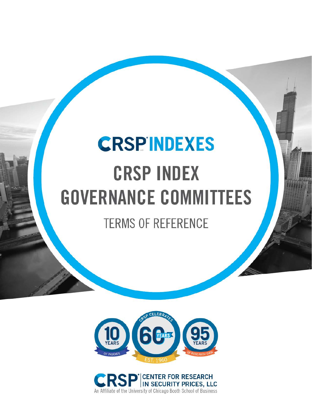# **CRSPINDEXES CRSP INDEX GOVERNANCE COMMITTEES**

**TERMS OF REFERENCE** 



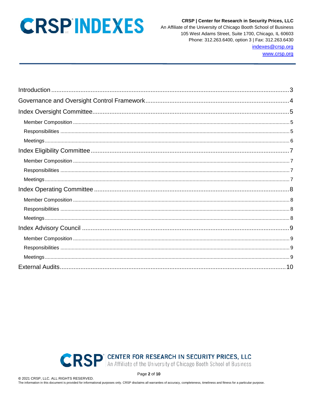**CRSP | Center for Research in Security Prices, LLC** An Affiliate of the University of Chicago Booth School of Business 105 West Adams Street, Suite 1700, Chicago, IL 60603 Phone: 312.263.6400, option 3 | Fax: 312.263.6430 indexes@crsp.org

www.crsp.org



Page 2 of 10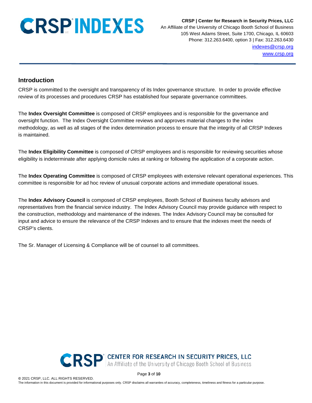**CRSP | Center for Research in Security Prices, LLC** An Affiliate of the University of Chicago Booth School of Business 105 West Adams Street, Suite 1700, Chicago, IL 60603 Phone: 312.263.6400, option 3 | Fax: 312.263.6430 [indexes@crsp.org](mailto:indexes@crsp.org) [www.crsp.org](http://www.crsp.org/)

### <span id="page-2-0"></span>**Introduction**

CRSP is committed to the oversight and transparency of its Index governance structure. In order to provide effective review of its processes and procedures CRSP has established four separate governance committees.

The **Index Oversight Committee** is composed of CRSP employees and is responsible for the governance and oversight function. The Index Oversight Committee reviews and approves material changes to the index methodology, as well as all stages of the index determination process to ensure that the integrity of all CRSP Indexes is maintained.

The **Index Eligibility Committee** is composed of CRSP employees and is responsible for reviewing securities whose eligibility is indeterminate after applying domicile rules at ranking or following the application of a corporate action.

The **Index Operating Committee** is composed of CRSP employees with extensive relevant operational experiences. This committee is responsible for ad hoc review of unusual corporate actions and immediate operational issues.

The **Index Advisory Council** is composed of CRSP employees, Booth School of Business faculty advisors and representatives from the financial service industry. The Index Advisory Council may provide guidance with respect to the construction, methodology and maintenance of the indexes. The Index Advisory Council may be consulted for input and advice to ensure the relevance of the CRSP Indexes and to ensure that the indexes meet the needs of CRSP's clients.

The Sr. Manager of Licensing & Compliance will be of counsel to all committees.



Page **3** of **10**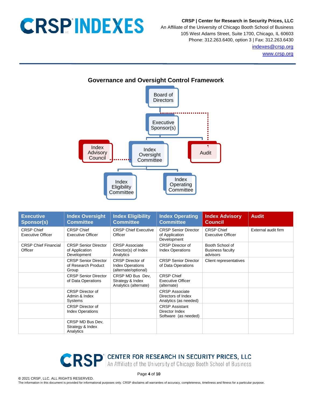**CRSP | Center for Research in Security Prices, LLC**

An Affiliate of the University of Chicago Booth School of Business 105 West Adams Street, Suite 1700, Chicago, IL 60603 Phone: 312.263.6400, option 3 | Fax: 312.263.6430 [indexes@crsp.org](mailto:indexes@crsp.org) [www.crsp.org](http://www.crsp.org/)

<span id="page-3-0"></span>

| <b>Executive</b><br><b>Sponsor(s)</b>         | <b>Index Oversight</b><br><b>Committee</b>                   | <b>Index Eligibility</b><br><b>Committee</b>                               | <b>Index Operating</b><br><b>Committee</b>                           | <b>Index Advisory</b><br><b>Council</b>                | <b>Audit</b>        |
|-----------------------------------------------|--------------------------------------------------------------|----------------------------------------------------------------------------|----------------------------------------------------------------------|--------------------------------------------------------|---------------------|
| <b>CRSP Chief</b><br><b>Executive Officer</b> | <b>CRSP Chief</b><br><b>Executive Officer</b>                | <b>CRSP Chief Executive</b><br>Officer                                     | <b>CRSP Senior Director</b><br>of Application<br>Development         | <b>CRSP Chief</b><br><b>Executive Officer</b>          | External audit firm |
| <b>CRSP Chief Financial</b><br>Officer        | <b>CRSP Senior Director</b><br>of Application<br>Development | <b>CRSP Associate</b><br>Director(s) of Index<br>Analytics                 | <b>CRSP</b> Director of<br><b>Index Operations</b>                   | Booth School of<br><b>Business faculty</b><br>advisors |                     |
|                                               | <b>CRSP Senior Director</b><br>of Research Product<br>Group  | <b>CRSP</b> Director of<br><b>Index Operations</b><br>(alternate/optional) | <b>CRSP Senior Director</b><br>of Data Operations                    | Client representatives                                 |                     |
|                                               | <b>CRSP Senior Director</b><br>of Data Operations            | CRSP MD Bus Dev,<br>Strategy & Index<br>Analytics (alternate)              | <b>CRSP Chief</b><br>Executive Officer<br>(alternate)                |                                                        |                     |
|                                               | <b>CRSP</b> Director of<br>Admin & Index<br>Systems          |                                                                            | <b>CRSP Associate</b><br>Directors of Index<br>Analytics (as needed) |                                                        |                     |
|                                               | <b>CRSP</b> Director of<br><b>Index Operations</b>           |                                                                            | <b>CRSP Assistant</b><br>Director Index<br>Software (as needed)      |                                                        |                     |
|                                               | CRSP MD Bus Dev,<br>Strategy & Index<br>Analytics            |                                                                            |                                                                      |                                                        |                     |

CRSP<sup>'</sup> An Affiliate of the University of Chicago Booth School of Business

Page **4** of **10**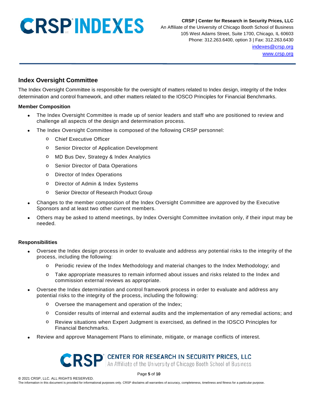**CRSP | Center for Research in Security Prices, LLC**

An Affiliate of the University of Chicago Booth School of Business 105 West Adams Street, Suite 1700, Chicago, IL 60603 Phone: 312.263.6400, option 3 | Fax: 312.263.6430 [indexes@crsp.org](mailto:indexes@crsp.org) [www.crsp.org](http://www.crsp.org/)

### <span id="page-4-0"></span>**Index Oversight Committee**

The Index Oversight Committee is responsible for the oversight of matters related to Index design, integrity of the Index determination and control framework, and other matters related to the IOSCO Principles for Financial Benchmarks.

#### <span id="page-4-1"></span>**Member Composition**

- The Index Oversight Committee is made up of senior leaders and staff who are positioned to review and challenge all aspects of the design and determination process.
- The Index Oversight Committee is composed of the following CRSP personnel:
	- o Chief Executive Officer
	- o Senior Director of Application Development
	- o MD Bus Dev, Strategy & Index Analytics
	- o Senior Director of Data Operations
	- o Director of Index Operations
	- o Director of Admin & Index Systems
	- o Senior Director of Research Product Group
- Changes to the member composition of the Index Oversight Committee are approved by the Executive Sponsors and at least two other current members.
- Others may be asked to attend meetings, by Index Oversight Committee invitation only, if their input may be needed.

#### <span id="page-4-2"></span>**Responsibilities**

- Oversee the Index design process in order to evaluate and address any potential risks to the integrity of the process, including the following:
	- o Periodic review of the Index Methodology and material changes to the Index Methodology; and
	- o Take appropriate measures to remain informed about issues and risks related to the Index and commission external reviews as appropriate.
- Oversee the Index determination and control framework process in order to evaluate and address any potential risks to the integrity of the process, including the following:
	- o Oversee the management and operation of the Index;
	- o Consider results of internal and external audits and the implementation of any remedial actions; and
	- o Review situations when Expert Judgment is exercised, as defined in the IOSCO Principles for Financial Benchmarks.
- Review and approve Management Plans to eliminate, mitigate, or manage conflicts of interest.

### CRSP<sup>'</sup> An Affiliate of the University of Chicago Booth School of Business

Page **5** of **10**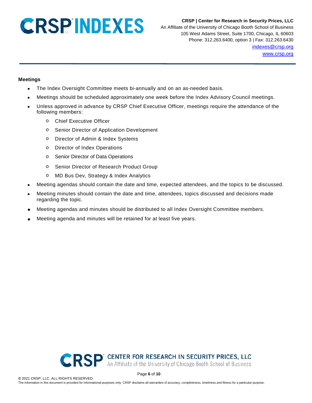#### **CRSP | Center for Research in Security Prices, LLC**

An Affiliate of the University of Chicago Booth School of Business 105 West Adams Street, Suite 1700, Chicago, IL 60603 Phone: 312.263.6400, option 3 | Fax: 312.263.6430 [indexes@crsp.org](mailto:indexes@crsp.org) [www.crsp.org](http://www.crsp.org/)

#### <span id="page-5-0"></span>**Meetings**

- The Index Oversight Committee meets bi-annually and on an as-needed basis.
- Meetings should be scheduled approximately one week before the Index Advisory Council meetings.
- Unless approved in advance by CRSP Chief Executive Officer, meetings require the attendance of the following members:
	- o Chief Executive Officer
	- o Senior Director of Application Development
	- o Director of Admin & Index Systems
	- o Director of Index Operations
	- o Senior Director of Data Operations
	- o Senior Director of Research Product Group
	- o MD Bus Dev, Strategy & Index Analytics
- Meeting agendas should contain the date and time, expected attendees, and the topics to be discussed.
- Meeting minutes should contain the date and time, attendees, topics discussed and decisions made regarding the topic.
- Meeting agendas and minutes should be distributed to all Index Oversight Committee members.
- Meeting agenda and minutes will be retained for at least five years.



Page **6** of **10**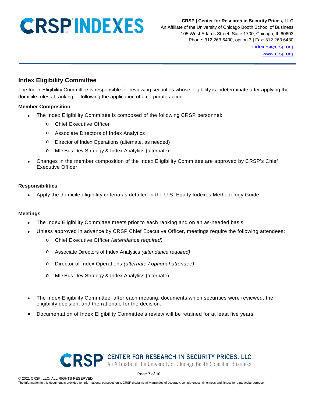**CRSP | Center for Research in Security Prices, LLC** An Affiliate of the University of Chicago Booth School of Business 105 West Adams Street, Suite 1700, Chicago, IL 60603 Phone: 312.263.6400, option 3 | Fax: 312.263.6430 [indexes@crsp.org](mailto:indexes@crsp.org) [www.crsp.org](http://www.crsp.org/)

### <span id="page-6-0"></span>**Index Eligibility Committee**

The Index Eligibility Committee is responsible for reviewing securities whose eligibility is indeterminate after applying the domicile rules at ranking or following the application of a corporate action.

#### <span id="page-6-1"></span>**Member Composition**

- The Index Eligibility Committee is composed of the following CRSP personnel:
	- o Chief Executive Officer
	- o Associate Directors of Index Analytics
	- o Director of Index Operations (alternate, as needed)
	- o MD Bus Dev Strategy & Index Analytics (alternate)
- Changes in the member composition of the Index Eligibility Committee are approved by CRSP's Chief Executive Officer.

#### <span id="page-6-2"></span>**Responsibilities**

• Apply the domicile eligibility criteria as detailed in the U.S. Equity Indexes Methodology Guide.

#### <span id="page-6-3"></span>**Meetings**

- The Index Eligibility Committee meets prior to each ranking and on an as-needed basis.
- Unless approved in advance by CRSP Chief Executive Officer, meetings require the following attendees:
	- o Chief Executive Officer *(attendance required)*
	- o Associate Directors of Index Analytics *(attendance required)*
	- o Director of Index Operations *(alternate / optional attendee)*
	- o MD Bus Dev Strategy & Index Analytics (alternate)
- The Index Eligibility Committee, after each meeting, documents which securities were reviewed, the eligibility decision, and the rationale for the decision.
- Documentation of Index Eligibility Committee's review will be retained for at least five years.



Page **7** of **10**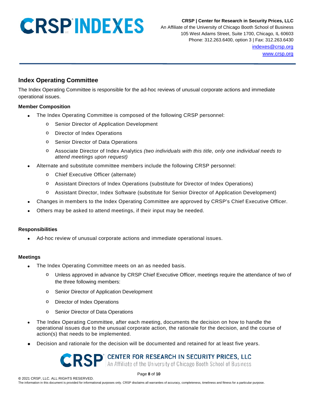**CRSP | Center for Research in Security Prices, LLC**

An Affiliate of the University of Chicago Booth School of Business 105 West Adams Street, Suite 1700, Chicago, IL 60603 Phone: 312.263.6400, option 3 | Fax: 312.263.6430 [indexes@crsp.org](mailto:indexes@crsp.org) [www.crsp.org](http://www.crsp.org/)

### <span id="page-7-0"></span>**Index Operating Committee**

The Index Operating Committee is responsible for the ad-hoc reviews of unusual corporate actions and immediate operational issues.

#### <span id="page-7-1"></span>**Member Composition**

- The Index Operating Committee is composed of the following CRSP personnel:
	- o Senior Director of Application Development
	- o Director of Index Operations
	- o Senior Director of Data Operations
	- o Associate Director of Index Analytics *(two individuals with this title, only one individual needs to attend meetings upon request)*
- Alternate and substitute committee members include the following CRSP personnel:
	- o Chief Executive Officer (alternate)
	- o Assistant Directors of Index Operations (substitute for Director of Index Operations)
	- o Assistant Director, Index Software (substitute for Senior Director of Application Development)
- Changes in members to the Index Operating Committee are approved by CRSP's Chief Executive Officer.
- Others may be asked to attend meetings, if their input may be needed.

#### <span id="page-7-2"></span>**Responsibilities**

• Ad-hoc review of unusual corporate actions and immediate operational issues.

#### <span id="page-7-3"></span>**Meetings**

- The Index Operating Committee meets on an as needed basis.
	- o Unless approved in advance by CRSP Chief Executive Officer, meetings require the attendance of two of the three following members:
	- o Senior Director of Application Development
	- o Director of Index Operations
	- o Senior Director of Data Operations
- The Index Operating Committee, after each meeting, documents the decision on how to handle the operational issues due to the unusual corporate action, the rationale for the decision, and the course of action(s) that needs to be implemented.
- Decision and rationale for the decision will be documented and retained for at least five years.

### **CRSP** An Affiliate of the University of Chicago Booth School of Business

Page **8** of **10**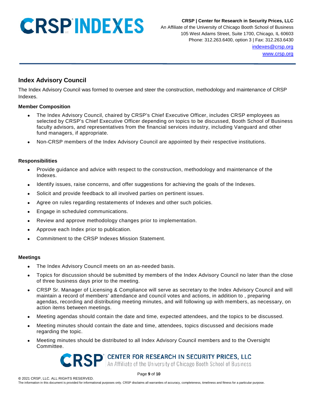**CRSP | Center for Research in Security Prices, LLC**

An Affiliate of the University of Chicago Booth School of Business 105 West Adams Street, Suite 1700, Chicago, IL 60603 Phone: 312.263.6400, option 3 | Fax: 312.263.6430 [indexes@crsp.org](mailto:indexes@crsp.org) [www.crsp.org](http://www.crsp.org/)

### <span id="page-8-0"></span>**Index Advisory Council**

The Index Advisory Council was formed to oversee and steer the construction, methodology and maintenance of CRSP Indexes.

#### <span id="page-8-1"></span>**Member Composition**

- The Index Advisory Council, chaired by CRSP's Chief Executive Officer, includes CRSP employees as selected by CRSP's Chief Executive Officer depending on topics to be discussed, Booth School of Business faculty advisors, and representatives from the financial services industry, including Vanguard and other fund managers, if appropriate.
- Non-CRSP members of the Index Advisory Council are appointed by their respective institutions.

#### <span id="page-8-2"></span>**Responsibilities**

- Provide guidance and advice with respect to the construction, methodology and maintenance of the Indexes.
- Identify issues, raise concerns, and offer suggestions for achieving the goals of the Indexes.
- Solicit and provide feedback to all involved parties on pertinent issues.
- Agree on rules regarding restatements of Indexes and other such policies.
- Engage in scheduled communications.
- Review and approve methodology changes prior to implementation.
- Approve each Index prior to publication.
- Commitment to the CRSP Indexes Mission Statement.

#### <span id="page-8-3"></span>**Meetings**

- The Index Advisory Council meets on an as-needed basis.
- Topics for discussion should be submitted by members of the Index Advisory Council no later than the close of three business days prior to the meeting.
- CRSP Sr. Manager of Licensing & Compliance will serve as secretary to the Index Advisory Council and will maintain a record of members' attendance and council votes and actions, in addition to , preparing agendas, recording and distributing meeting minutes, and will following up with members, as necessary, on action items between meetings.
- Meeting agendas should contain the date and time, expected attendees, and the topics to be discussed.
- Meeting minutes should contain the date and time, attendees, topics discussed and decisions made regarding the topic.
- Meeting minutes should be distributed to all Index Advisory Council members and to the Oversight Committee.

CRSP An Affiliate of the University of Chicago Booth School of Business

Page **9** of **10**